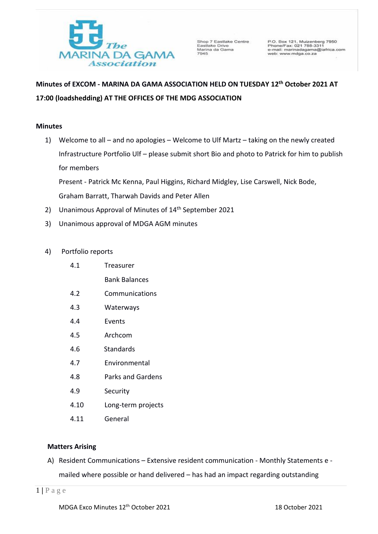

Shop 7 Eastlake Centre Shop / Eastlake<br>Eastlake Drive<br>Marina da Gama<br>7945

P.O. Box 121, Muizenberg 7950<br>Phone/Fax: 021 788-3311<br>o-mail: marinadagama@iafrica.com<br>web: www.mdga.co.za

# **Minutes of EXCOM - MARINA DA GAMA ASSOCIATION HELD ON TUESDAY 12 th October 2021 AT 17:00 (loadshedding) AT THE OFFICES OF THE MDG ASSOCIATION**

# **Minutes**

1) Welcome to all – and no apologies – Welcome to Ulf Martz – taking on the newly created Infrastructure Portfolio Ulf – please submit short Bio and photo to Patrick for him to publish for members

Present - Patrick Mc Kenna, Paul Higgins, Richard Midgley, Lise Carswell, Nick Bode, Graham Barratt, Tharwah Davids and Peter Allen

- 2) Unanimous Approval of Minutes of 14<sup>th</sup> September 2021
- 3) Unanimous approval of MDGA AGM minutes
- 4) Portfolio reports
	- 4.1 Treasurer

Bank Balances

- 4.2 Communications
- 4.3 Waterways
- 4.4 Events
- 4.5 Archcom
- 4.6 Standards
- 4.7 Environmental
- 4.8 Parks and Gardens
- 4.9 Security
- 4.10 Long-term projects
- 4.11 General

# **Matters Arising**

A) Resident Communications – Extensive resident communication - Monthly Statements e mailed where possible or hand delivered – has had an impact regarding outstanding

1 **|** P a g e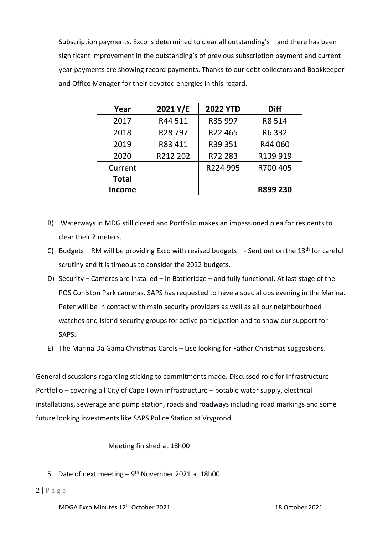Subscription payments. Exco is determined to clear all outstanding's – and there has been significant improvement in the outstanding's of previous subscription payment and current year payments are showing record payments. Thanks to our debt collectors and Bookkeeper and Office Manager for their devoted energies in this regard.

| Year          | 2021 Y/E            | <b>2022 YTD</b> | <b>Diff</b> |
|---------------|---------------------|-----------------|-------------|
| 2017          | R44 511             | R35 997         | R8 514      |
| 2018          | R <sub>28</sub> 797 | R22465          | R6 332      |
| 2019          | R83 411             | R39 351         | R44 060     |
| 2020          | R212 202            | R72 283         | R139 919    |
| Current       |                     | R224 995        | R700 405    |
| <b>Total</b>  |                     |                 |             |
| <b>Income</b> |                     |                 | R899 230    |

- B) Waterways in MDG still closed and Portfolio makes an impassioned plea for residents to clear their 2 meters.
- C) Budgets RM will be providing Exco with revised budgets - Sent out on the 13<sup>th</sup> for careful scrutiny and it is timeous to consider the 2022 budgets.
- D) Security Cameras are installed in Battleridge and fully functional. At last stage of the POS Coniston Park cameras. SAPS has requested to have a special ops evening in the Marina. Peter will be in contact with main security providers as well as all our neighbourhood watches and Island security groups for active participation and to show our support for SAPS.
- E) The Marina Da Gama Christmas Carols Lise looking for Father Christmas suggestions.

General discussions regarding sticking to commitments made. Discussed role for Infrastructure Portfolio – covering all City of Cape Town infrastructure – potable water supply, electrical installations, sewerage and pump station, roads and roadways including road markings and some future looking investments like SAPS Police Station at Vrygrond.

# Meeting finished at 18h00

5. Date of next meeting - 9<sup>th</sup> November 2021 at 18h00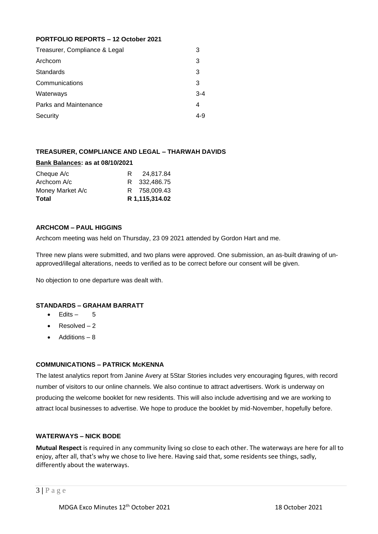## **PORTFOLIO REPORTS – 12 October 2021**

| З       |
|---------|
| 3       |
| 3       |
| 3       |
| $3 - 4$ |
| 4       |
| 4-9     |
|         |

# **TREASURER, COMPLIANCE AND LEGAL – THARWAH DAVIDS**

## **Bank Balances: as at 08/10/2021**

| Cheque A/c       | R | 24.817.84      |
|------------------|---|----------------|
| Archcom A/c      |   | R 332,486.75   |
| Money Market A/c |   | R 758,009.43   |
| Total            |   | R 1,115,314.02 |

#### **ARCHCOM – PAUL HIGGINS**

Archcom meeting was held on Thursday, 23 09 2021 attended by Gordon Hart and me.

Three new plans were submitted, and two plans were approved. One submission, an as-built drawing of unapproved/illegal alterations, needs to verified as to be correct before our consent will be given.

No objection to one departure was dealt with.

## **STANDARDS – GRAHAM BARRATT**

- $\bullet$  Edits 5
- Resolved  $-2$
- Additions 8

## **COMMUNICATIONS – PATRICK McKENNA**

The latest analytics report from Janine Avery at 5Star Stories includes very encouraging figures, with record number of visitors to our online channels. We also continue to attract advertisers. Work is underway on producing the welcome booklet for new residents. This will also include advertising and we are working to attract local businesses to advertise. We hope to produce the booklet by mid-November, hopefully before.

## **WATERWAYS – NICK BODE**

**Mutual Respect** is required in any community living so close to each other. The waterways are here for all to enjoy, after all, that's why we chose to live here. Having said that, some residents see things, sadly, differently about the waterways.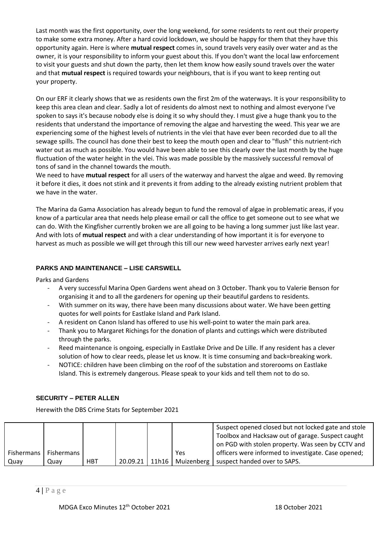Last month was the first opportunity, over the long weekend, for some residents to rent out their property to make some extra money. After a hard covid lockdown, we should be happy for them that they have this opportunity again. Here is where **mutual respect** comes in, sound travels very easily over water and as the owner, it is your responsibility to inform your guest about this. If you don't want the local law enforcement to visit your guests and shut down the party, then let them know how easily sound travels over the water and that **mutual respect** is required towards your neighbours, that is if you want to keep renting out your property.

On our ERF it clearly shows that we as residents own the first 2m of the waterways. It is your responsibility to keep this area clean and clear. Sadly a lot of residents do almost next to nothing and almost everyone I've spoken to says it's because nobody else is doing it so why should they. I must give a huge thank you to the residents that understand the importance of removing the algae and harvesting the weed. This year we are experiencing some of the highest levels of nutrients in the vlei that have ever been recorded due to all the sewage spills. The council has done their best to keep the mouth open and clear to "flush" this nutrient-rich water out as much as possible. You would have been able to see this clearly over the last month by the huge fluctuation of the water height in the vlei. This was made possible by the massively successful removal of tons of sand in the channel towards the mouth.

We need to have **mutual respect** for all users of the waterway and harvest the algae and weed. By removing it before it dies, it does not stink and it prevents it from adding to the already existing nutrient problem that we have in the water.

The Marina da Gama Association has already begun to fund the removal of algae in problematic areas, if you know of a particular area that needs help please email or call the office to get someone out to see what we can do. With the Kingfisher currently broken we are all going to be having a long summer just like last year. And with lots of **mutual respect** and with a clear understanding of how important it is for everyone to harvest as much as possible we will get through this till our new weed harvester arrives early next year!

# **PARKS AND MAINTENANCE – LISE CARSWELL**

Parks and Gardens

- A very successful Marina Open Gardens went ahead on 3 October. Thank you to Valerie Benson for organising it and to all the gardeners for opening up their beautiful gardens to residents.
- With summer on its way, there have been many discussions about water. We have been getting quotes for well points for Eastlake Island and Park Island.
- A resident on Canon Island has offered to use his well-point to water the main park area.
- Thank you to Margaret Richings for the donation of plants and cuttings which were distributed through the parks.
- Reed maintenance is ongoing, especially in Eastlake Drive and De Lille. If any resident has a clever solution of how to clear reeds, please let us know. It is time consuming and back=breaking work.
- NOTICE: children have been climbing on the roof of the substation and storerooms on Eastlake Island. This is extremely dangerous. Please speak to your kids and tell them not to do so.

## **SECURITY – PETER ALLEN**

Herewith the DBS Crime Stats for September 2021

|            |            |            |          |       |     | Suspect opened closed but not locked gate and stole |
|------------|------------|------------|----------|-------|-----|-----------------------------------------------------|
|            |            |            |          |       |     | Toolbox and Hacksaw out of garage. Suspect caught   |
|            |            |            |          |       |     | on PGD with stolen property. Was seen by CCTV and   |
| Fishermans | Fishermans |            |          |       | Yes | officers were informed to investigate. Case opened; |
| Quay       | Quav       | <b>HBT</b> | 20.09.21 | 11h16 |     | Muizenberg   suspect handed over to SAPS.           |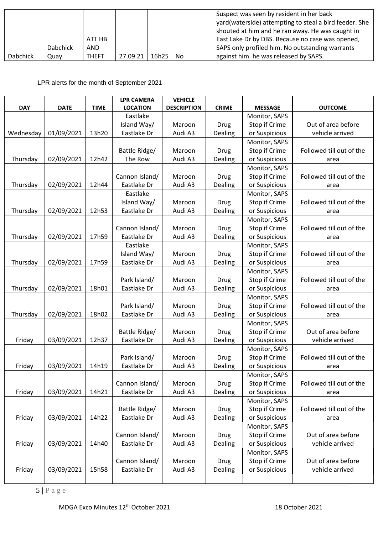|                 | <b>Dabchick</b> | ATT HB<br>AND |          |       |     | Suspect was seen by resident in her back<br>yard(waterside) attempting to steal a bird feeder. She<br>shouted at him and he ran away. He was caught in<br>East Lake Dr by DBS. Because no case was opened,<br>SAPS only profiled him. No outstanding warrants |
|-----------------|-----------------|---------------|----------|-------|-----|---------------------------------------------------------------------------------------------------------------------------------------------------------------------------------------------------------------------------------------------------------------|
| <b>Dabchick</b> | Quav            | <b>THEFT</b>  | 27.09.21 | 16h25 | No. | against him. he was released by SAPS.                                                                                                                                                                                                                         |

LPR alerts for the month of September 2021

|            |             |             | <b>LPR CAMERA</b> | <b>VEHICLE</b>     |              |                |                          |
|------------|-------------|-------------|-------------------|--------------------|--------------|----------------|--------------------------|
| <b>DAY</b> | <b>DATE</b> | <b>TIME</b> | <b>LOCATION</b>   | <b>DESCRIPTION</b> | <b>CRIME</b> | <b>MESSAGE</b> | <b>OUTCOME</b>           |
|            |             |             | Eastlake          |                    |              | Monitor, SAPS  |                          |
|            |             |             | Island Way/       | Maroon             | <b>Drug</b>  | Stop if Crime  | Out of area before       |
| Wednesday  | 01/09/2021  | 13h20       | Eastlake Dr       | Audi A3            | Dealing      | or Suspicious  | vehicle arrived          |
|            |             |             |                   |                    |              | Monitor, SAPS  |                          |
|            |             |             | Battle Ridge/     | Maroon             | <b>Drug</b>  | Stop if Crime  | Followed till out of the |
| Thursday   | 02/09/2021  | 12h42       | The Row           | Audi A3            | Dealing      | or Suspicious  | area                     |
|            |             |             |                   |                    |              | Monitor, SAPS  |                          |
|            |             |             | Cannon Island/    | Maroon             | <b>Drug</b>  | Stop if Crime  | Followed till out of the |
| Thursday   | 02/09/2021  | 12h44       | Eastlake Dr       | Audi A3            | Dealing      | or Suspicious  | area                     |
|            |             |             | Eastlake          |                    |              | Monitor, SAPS  |                          |
|            |             |             | Island Way/       | Maroon             | <b>Drug</b>  | Stop if Crime  | Followed till out of the |
| Thursday   | 02/09/2021  | 12h53       | Eastlake Dr       | Audi A3            | Dealing      | or Suspicious  | area                     |
|            |             |             |                   |                    |              | Monitor, SAPS  |                          |
|            |             |             | Cannon Island/    | Maroon             | <b>Drug</b>  | Stop if Crime  | Followed till out of the |
| Thursday   | 02/09/2021  | 17h59       | Eastlake Dr       | Audi A3            | Dealing      | or Suspicious  | area                     |
|            |             |             | Eastlake          |                    |              | Monitor, SAPS  |                          |
|            |             |             | Island Way/       | Maroon             | <b>Drug</b>  | Stop if Crime  | Followed till out of the |
| Thursday   | 02/09/2021  | 17h59       | Eastlake Dr       | Audi A3            | Dealing      | or Suspicious  | area                     |
|            |             |             |                   |                    |              | Monitor, SAPS  |                          |
|            |             |             | Park Island/      | Maroon             | <b>Drug</b>  | Stop if Crime  | Followed till out of the |
| Thursday   | 02/09/2021  | 18h01       | Eastlake Dr       | Audi A3            | Dealing      | or Suspicious  | area                     |
|            |             |             |                   |                    |              | Monitor, SAPS  |                          |
|            |             |             | Park Island/      | Maroon             | <b>Drug</b>  | Stop if Crime  | Followed till out of the |
| Thursday   | 02/09/2021  | 18h02       | Eastlake Dr       | Audi A3            | Dealing      | or Suspicious  | area                     |
|            |             |             |                   |                    |              | Monitor, SAPS  |                          |
|            |             |             | Battle Ridge/     | Maroon             | <b>Drug</b>  | Stop if Crime  | Out of area before       |
| Friday     | 03/09/2021  | 12h37       | Eastlake Dr       | Audi A3            | Dealing      | or Suspicious  | vehicle arrived          |
|            |             |             |                   |                    |              | Monitor, SAPS  |                          |
|            |             |             | Park Island/      | Maroon             | <b>Drug</b>  | Stop if Crime  | Followed till out of the |
| Friday     | 03/09/2021  | 14h19       | Eastlake Dr       | Audi A3            | Dealing      | or Suspicious  | area                     |
|            |             |             |                   |                    |              | Monitor, SAPS  |                          |
|            |             |             | Cannon Island/    | Maroon             | Drug         | Stop if Crime  | Followed till out of the |
| Friday     | 03/09/2021  | 14h21       | Eastlake Dr       | Audi A3            | Dealing      | or Suspicious  | area                     |
|            |             |             |                   |                    |              | Monitor, SAPS  |                          |
|            |             |             | Battle Ridge/     | Maroon             | <b>Drug</b>  | Stop if Crime  | Followed till out of the |
| Friday     | 03/09/2021  | 14h22       | Eastlake Dr       | Audi A3            | Dealing      | or Suspicious  | area                     |
|            |             |             |                   |                    |              | Monitor, SAPS  |                          |
|            |             |             | Cannon Island/    | Maroon             | Drug         | Stop if Crime  | Out of area before       |
| Friday     | 03/09/2021  | 14h40       | Eastlake Dr       | Audi A3            | Dealing      | or Suspicious  | vehicle arrived          |
|            |             |             |                   |                    |              | Monitor, SAPS  |                          |
|            |             |             | Cannon Island/    | Maroon             | <b>Drug</b>  | Stop if Crime  | Out of area before       |
| Friday     | 03/09/2021  | 15h58       | Eastlake Dr       | Audi A3            | Dealing      | or Suspicious  | vehicle arrived          |
|            |             |             |                   |                    |              |                |                          |

5 **|** P a g e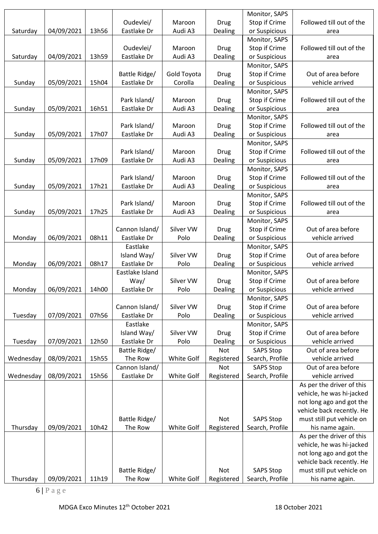|           |            |       |                 |             |             | Monitor, SAPS    |                                                       |
|-----------|------------|-------|-----------------|-------------|-------------|------------------|-------------------------------------------------------|
|           |            |       | Oudevlei/       | Maroon      | Drug        | Stop if Crime    | Followed till out of the                              |
| Saturday  | 04/09/2021 | 13h56 | Eastlake Dr     | Audi A3     | Dealing     | or Suspicious    | area                                                  |
|           |            |       |                 |             |             | Monitor, SAPS    |                                                       |
|           |            |       | Oudevlei/       | Maroon      | Drug        | Stop if Crime    | Followed till out of the                              |
| Saturday  | 04/09/2021 | 13h59 | Eastlake Dr     | Audi A3     | Dealing     | or Suspicious    | area                                                  |
|           |            |       |                 |             |             | Monitor, SAPS    |                                                       |
|           |            |       | Battle Ridge/   | Gold Toyota | Drug        | Stop if Crime    | Out of area before                                    |
| Sunday    | 05/09/2021 | 15h04 | Eastlake Dr     | Corolla     | Dealing     | or Suspicious    | vehicle arrived                                       |
|           |            |       |                 |             |             | Monitor, SAPS    |                                                       |
|           |            |       | Park Island/    | Maroon      | Drug        | Stop if Crime    | Followed till out of the                              |
| Sunday    | 05/09/2021 | 16h51 | Eastlake Dr     | Audi A3     | Dealing     | or Suspicious    | area                                                  |
|           |            |       |                 |             |             | Monitor, SAPS    |                                                       |
|           |            |       | Park Island/    | Maroon      | Drug        | Stop if Crime    | Followed till out of the                              |
| Sunday    | 05/09/2021 | 17h07 | Eastlake Dr     | Audi A3     | Dealing     | or Suspicious    | area                                                  |
|           |            |       |                 |             |             | Monitor, SAPS    |                                                       |
|           |            |       | Park Island/    | Maroon      | Drug        | Stop if Crime    | Followed till out of the                              |
| Sunday    | 05/09/2021 | 17h09 | Eastlake Dr     | Audi A3     | Dealing     | or Suspicious    | area                                                  |
|           |            |       |                 |             |             | Monitor, SAPS    |                                                       |
|           |            |       | Park Island/    | Maroon      | Drug        | Stop if Crime    | Followed till out of the                              |
| Sunday    | 05/09/2021 | 17h21 | Eastlake Dr     | Audi A3     | Dealing     | or Suspicious    | area                                                  |
|           |            |       |                 |             |             | Monitor, SAPS    |                                                       |
|           |            |       | Park Island/    | Maroon      | Drug        | Stop if Crime    | Followed till out of the                              |
| Sunday    | 05/09/2021 | 17h25 | Eastlake Dr     | Audi A3     | Dealing     | or Suspicious    | area                                                  |
|           |            |       |                 |             |             | Monitor, SAPS    |                                                       |
|           |            |       | Cannon Island/  | Silver VW   | Drug        | Stop if Crime    | Out of area before                                    |
| Monday    | 06/09/2021 | 08h11 | Eastlake Dr     | Polo        | Dealing     | or Suspicious    | vehicle arrived                                       |
|           |            |       | Eastlake        |             |             | Monitor, SAPS    |                                                       |
|           |            |       | Island Way/     | Silver VW   | Drug        | Stop if Crime    | Out of area before                                    |
| Monday    | 06/09/2021 | 08h17 | Eastlake Dr     | Polo        | Dealing     | or Suspicious    | vehicle arrived                                       |
|           |            |       | Eastlake Island |             |             | Monitor, SAPS    |                                                       |
|           |            |       | Way/            | Silver VW   | Drug        | Stop if Crime    | Out of area before                                    |
| Monday    | 06/09/2021 | 14h00 | Eastlake Dr     | Polo        | Dealing     | or Suspicious    | vehicle arrived                                       |
|           |            |       |                 |             |             | Monitor, SAPS    |                                                       |
|           |            |       | Cannon Island/  | Silver VW   | <b>Drug</b> | Stop if Crime    | Out of area before                                    |
| Tuesday   | 07/09/2021 | 07h56 | Eastlake Dr     | Polo        | Dealing     | or Suspicious    | vehicle arrived                                       |
|           |            |       | Eastlake        |             |             | Monitor, SAPS    |                                                       |
|           |            |       | Island Way/     | Silver VW   | Drug        | Stop if Crime    | Out of area before                                    |
| Tuesday   | 07/09/2021 | 12h50 | Eastlake Dr     | Polo        | Dealing     | or Suspicious    | vehicle arrived                                       |
|           |            |       | Battle Ridge/   |             | Not         | <b>SAPS Stop</b> | Out of area before                                    |
| Wednesday | 08/09/2021 | 15h55 | The Row         | White Golf  | Registered  | Search, Profile  | vehicle arrived                                       |
|           |            |       | Cannon Island/  |             | Not         | <b>SAPS Stop</b> | Out of area before                                    |
| Wednesday | 08/09/2021 | 15h56 | Eastlake Dr     | White Golf  | Registered  | Search, Profile  | vehicle arrived                                       |
|           |            |       |                 |             |             |                  | As per the driver of this                             |
|           |            |       |                 |             |             |                  | vehicle, he was hi-jacked                             |
|           |            |       |                 |             |             |                  |                                                       |
|           |            |       |                 |             |             |                  | not long ago and got the<br>vehicle back recently. He |
|           |            |       | Battle Ridge/   |             | <b>Not</b>  | <b>SAPS Stop</b> | must still put vehicle on                             |
|           |            | 10h42 | The Row         | White Golf  |             |                  |                                                       |
| Thursday  | 09/09/2021 |       |                 |             | Registered  | Search, Profile  | his name again.                                       |
|           |            |       |                 |             |             |                  | As per the driver of this                             |
|           |            |       |                 |             |             |                  | vehicle, he was hi-jacked                             |
|           |            |       |                 |             |             |                  | not long ago and got the                              |
|           |            |       |                 |             | <b>Not</b>  |                  | vehicle back recently. He                             |
|           |            |       | Battle Ridge/   |             |             | <b>SAPS Stop</b> | must still put vehicle on                             |
| Thursday  | 09/09/2021 | 11h19 | The Row         | White Golf  | Registered  | Search, Profile  | his name again.                                       |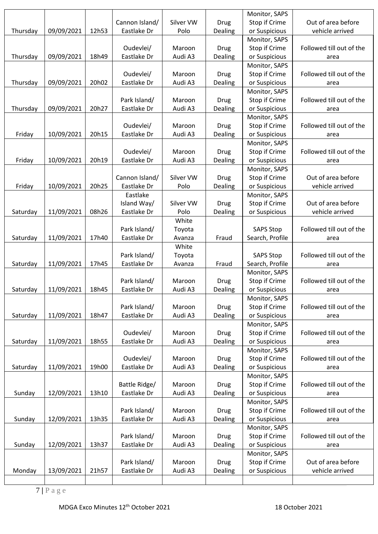|          |            |       |                |           |             | Monitor, SAPS    |                          |
|----------|------------|-------|----------------|-----------|-------------|------------------|--------------------------|
|          |            |       | Cannon Island/ | Silver VW | Drug        | Stop if Crime    | Out of area before       |
| Thursday | 09/09/2021 | 12h53 | Eastlake Dr    | Polo      | Dealing     | or Suspicious    | vehicle arrived          |
|          |            |       |                |           |             | Monitor, SAPS    |                          |
|          |            |       | Oudevlei/      | Maroon    | Drug        | Stop if Crime    | Followed till out of the |
| Thursday | 09/09/2021 | 18h49 | Eastlake Dr    | Audi A3   | Dealing     | or Suspicious    | area                     |
|          |            |       |                |           |             | Monitor, SAPS    |                          |
|          |            |       | Oudevlei/      | Maroon    | <b>Drug</b> | Stop if Crime    | Followed till out of the |
| Thursday | 09/09/2021 | 20h02 | Eastlake Dr    | Audi A3   | Dealing     | or Suspicious    | area                     |
|          |            |       |                |           |             | Monitor, SAPS    |                          |
|          |            |       | Park Island/   | Maroon    |             | Stop if Crime    | Followed till out of the |
|          |            | 20h27 | Eastlake Dr    | Audi A3   | Drug        |                  |                          |
| Thursday | 09/09/2021 |       |                |           | Dealing     | or Suspicious    | area                     |
|          |            |       |                |           |             | Monitor, SAPS    |                          |
|          |            |       | Oudevlei/      | Maroon    | Drug        | Stop if Crime    | Followed till out of the |
| Friday   | 10/09/2021 | 20h15 | Eastlake Dr    | Audi A3   | Dealing     | or Suspicious    | area                     |
|          |            |       |                |           |             | Monitor, SAPS    |                          |
|          |            |       | Oudevlei/      | Maroon    | Drug        | Stop if Crime    | Followed till out of the |
| Friday   | 10/09/2021 | 20h19 | Eastlake Dr    | Audi A3   | Dealing     | or Suspicious    | area                     |
|          |            |       |                |           |             | Monitor, SAPS    |                          |
|          |            |       | Cannon Island/ | Silver VW | Drug        | Stop if Crime    | Out of area before       |
| Friday   | 10/09/2021 | 20h25 | Eastlake Dr    | Polo      | Dealing     | or Suspicious    | vehicle arrived          |
|          |            |       | Eastlake       |           |             | Monitor, SAPS    |                          |
|          |            |       | Island Way/    | Silver VW | Drug        | Stop if Crime    | Out of area before       |
| Saturday | 11/09/2021 | 08h26 | Eastlake Dr    | Polo      | Dealing     | or Suspicious    | vehicle arrived          |
|          |            |       |                | White     |             |                  |                          |
|          |            |       | Park Island/   | Toyota    |             | <b>SAPS Stop</b> | Followed till out of the |
| Saturday | 11/09/2021 | 17h40 | Eastlake Dr    | Avanza    | Fraud       | Search, Profile  | area                     |
|          |            |       |                | White     |             |                  |                          |
|          |            |       | Park Island/   | Toyota    |             | <b>SAPS Stop</b> | Followed till out of the |
| Saturday | 11/09/2021 | 17h45 | Eastlake Dr    | Avanza    | Fraud       | Search, Profile  | area                     |
|          |            |       |                |           |             | Monitor, SAPS    |                          |
|          |            |       | Park Island/   | Maroon    | Drug        | Stop if Crime    | Followed till out of the |
| Saturday | 11/09/2021 | 18h45 | Eastlake Dr    | Audi A3   | Dealing     | or Suspicious    | area                     |
|          |            |       |                |           |             | Monitor, SAPS    |                          |
|          |            |       | Park Island/   | Maroon    | <b>Drug</b> | Stop if Crime    | Followed till out of the |
| Saturday | 11/09/2021 | 18h47 | Eastlake Dr    | Audi A3   | Dealing     | or Suspicious    | area                     |
|          |            |       |                |           |             | Monitor, SAPS    |                          |
|          |            |       | Oudevlei/      | Maroon    | Drug        | Stop if Crime    | Followed till out of the |
|          | 11/09/2021 | 18h55 | Eastlake Dr    | Audi A3   | Dealing     | or Suspicious    |                          |
| Saturday |            |       |                |           |             |                  | area                     |
|          |            |       |                |           |             | Monitor, SAPS    |                          |
|          |            |       | Oudevlei/      | Maroon    | Drug        | Stop if Crime    | Followed till out of the |
| Saturday | 11/09/2021 | 19h00 | Eastlake Dr    | Audi A3   | Dealing     | or Suspicious    | area                     |
|          |            |       |                |           |             | Monitor, SAPS    |                          |
|          |            |       | Battle Ridge/  | Maroon    | Drug        | Stop if Crime    | Followed till out of the |
| Sunday   | 12/09/2021 | 13h10 | Eastlake Dr    | Audi A3   | Dealing     | or Suspicious    | area                     |
|          |            |       |                |           |             | Monitor, SAPS    |                          |
|          |            |       | Park Island/   | Maroon    | Drug        | Stop if Crime    | Followed till out of the |
| Sunday   | 12/09/2021 | 13h35 | Eastlake Dr    | Audi A3   | Dealing     | or Suspicious    | area                     |
|          |            |       |                |           |             | Monitor, SAPS    |                          |
|          |            |       | Park Island/   | Maroon    | <b>Drug</b> | Stop if Crime    | Followed till out of the |
| Sunday   | 12/09/2021 | 13h37 | Eastlake Dr    | Audi A3   | Dealing     | or Suspicious    | area                     |
|          |            |       |                |           |             | Monitor, SAPS    |                          |
|          |            |       | Park Island/   | Maroon    | Drug        | Stop if Crime    | Out of area before       |
| Monday   |            |       |                |           |             |                  |                          |
|          | 13/09/2021 | 21h57 | Eastlake Dr    | Audi A3   | Dealing     | or Suspicious    | vehicle arrived          |

7 **|** P a g e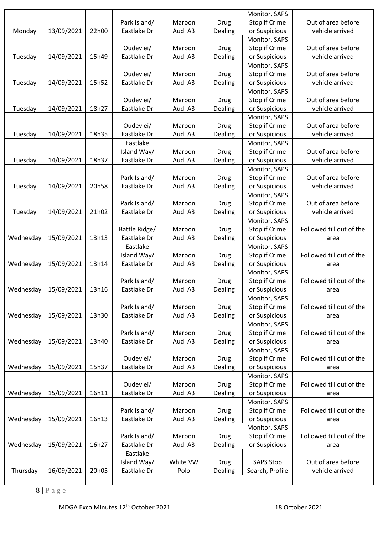| Thursday  | 16/09/2021 | 20h05 | Island Way/<br>Eastlake Dr | White VW<br>Polo | <b>Drug</b><br>Dealing | <b>SAPS Stop</b><br>Search, Profile | Out of area before<br>vehicle arrived |
|-----------|------------|-------|----------------------------|------------------|------------------------|-------------------------------------|---------------------------------------|
|           |            |       | Eastlake                   |                  |                        |                                     |                                       |
| Wednesday | 15/09/2021 | 16h27 | Eastlake Dr                | Audi A3          | Dealing                | or Suspicious                       | area                                  |
|           |            |       | Park Island/               | Maroon           | Drug                   | Stop if Crime                       | Followed till out of the              |
|           |            |       |                            |                  |                        | Monitor, SAPS                       |                                       |
| Wednesday | 15/09/2021 | 16h13 | Eastlake Dr                | Audi A3          | Dealing                | or Suspicious                       | area                                  |
|           |            |       | Park Island/               | Maroon           | Drug                   | Stop if Crime                       | Followed till out of the              |
|           |            |       |                            |                  |                        | Monitor, SAPS                       |                                       |
| Wednesday | 15/09/2021 | 16h11 | Eastlake Dr                | Audi A3          | Dealing                | or Suspicious                       | area                                  |
|           |            |       | Oudevlei/                  | Maroon           | <b>Drug</b>            | Stop if Crime                       | Followed till out of the              |
|           |            |       |                            |                  |                        | Monitor, SAPS                       |                                       |
| Wednesday | 15/09/2021 | 15h37 | Eastlake Dr                | Audi A3          | Dealing                | or Suspicious                       | area                                  |
|           |            |       | Oudevlei/                  | Maroon           | Drug                   | Stop if Crime                       | Followed till out of the              |
|           |            |       |                            |                  |                        | Monitor, SAPS                       |                                       |
| Wednesday | 15/09/2021 | 13h40 | Eastlake Dr                | Audi A3          | Dealing                | or Suspicious                       | area                                  |
|           |            |       | Park Island/               | Maroon           | <b>Drug</b>            | Stop if Crime                       | Followed till out of the              |
|           |            |       |                            |                  |                        | Monitor, SAPS                       |                                       |
| Wednesday | 15/09/2021 | 13h30 | Eastlake Dr                | Audi A3          | Dealing                | or Suspicious                       | area                                  |
|           |            |       | Park Island/               | Maroon           | Drug                   | Stop if Crime                       | Followed till out of the              |
|           |            |       |                            |                  |                        | Monitor, SAPS                       |                                       |
| Wednesday | 15/09/2021 | 13h16 | Eastlake Dr                | Audi A3          | Dealing                | or Suspicious                       | area                                  |
|           |            |       | Park Island/               | Maroon           | Drug                   | Stop if Crime                       | Followed till out of the              |
|           |            |       |                            |                  |                        | Monitor, SAPS                       |                                       |
| Wednesday | 15/09/2021 | 13h14 | Eastlake Dr                | Audi A3          | Dealing                | or Suspicious                       | area                                  |
|           |            |       | Island Way/                | Maroon           | <b>Drug</b>            | Stop if Crime                       | Followed till out of the              |
|           |            |       | Eastlake                   |                  |                        | Monitor, SAPS                       |                                       |
| Wednesday | 15/09/2021 | 13h13 | Eastlake Dr                | Audi A3          | Dealing                | or Suspicious                       | area                                  |
|           |            |       | Battle Ridge/              | Maroon           | Drug                   | Stop if Crime                       | Followed till out of the              |
|           |            |       |                            |                  |                        | Monitor, SAPS                       |                                       |
| Tuesday   | 14/09/2021 | 21h02 | Eastlake Dr                | Audi A3          | Dealing                | or Suspicious                       | vehicle arrived                       |
|           |            |       | Park Island/               | Maroon           | Drug                   | Stop if Crime                       | Out of area before                    |
|           |            |       |                            |                  |                        | Monitor, SAPS                       |                                       |
| Tuesday   | 14/09/2021 | 20h58 | Eastlake Dr                | Audi A3          | Dealing                | or Suspicious                       | vehicle arrived                       |
|           |            |       | Park Island/               | Maroon           | <b>Drug</b>            | Monitor, SAPS<br>Stop if Crime      | Out of area before                    |
| Tuesday   | 14/09/2021 | 18h37 | Eastlake Dr                | Audi A3          | Dealing                | or Suspicious                       | vehicle arrived                       |
|           |            |       | Island Way/                | Maroon           | Drug                   | Stop if Crime                       | Out of area before                    |
|           |            |       | Eastlake                   |                  |                        | Monitor, SAPS                       |                                       |
| Tuesday   | 14/09/2021 | 18h35 | Eastlake Dr                | Audi A3          | Dealing                | or Suspicious                       | vehicle arrived                       |
|           |            |       | Oudevlei/                  | Maroon           | <b>Drug</b>            | Stop if Crime                       | Out of area before                    |
|           |            |       |                            |                  |                        | Monitor, SAPS                       |                                       |
| Tuesday   | 14/09/2021 | 18h27 | Eastlake Dr                | Audi A3          | Dealing                | or Suspicious                       | vehicle arrived                       |
|           |            |       | Oudevlei/                  | Maroon           | Drug                   | Stop if Crime                       | Out of area before                    |
|           |            |       |                            |                  |                        | Monitor, SAPS                       |                                       |
| Tuesday   | 14/09/2021 | 15h52 | Eastlake Dr                | Audi A3          | Dealing                | or Suspicious                       | vehicle arrived                       |
|           |            |       | Oudevlei/                  | Maroon           | Drug                   | Stop if Crime                       | Out of area before                    |
|           |            |       |                            |                  |                        | Monitor, SAPS                       |                                       |
| Tuesday   | 14/09/2021 | 15h49 | Eastlake Dr                | Audi A3          | Dealing                | or Suspicious                       | vehicle arrived                       |
|           |            |       | Oudevlei/                  | Maroon           | Drug                   | Stop if Crime                       | Out of area before                    |
|           |            |       |                            |                  |                        | Monitor, SAPS                       |                                       |
| Monday    | 13/09/2021 | 22h00 | Eastlake Dr                | Audi A3          | Dealing                | or Suspicious                       | vehicle arrived                       |
|           |            |       | Park Island/               | Maroon           | Drug                   | Stop if Crime                       | Out of area before                    |
|           |            |       |                            |                  |                        | Monitor, SAPS                       |                                       |